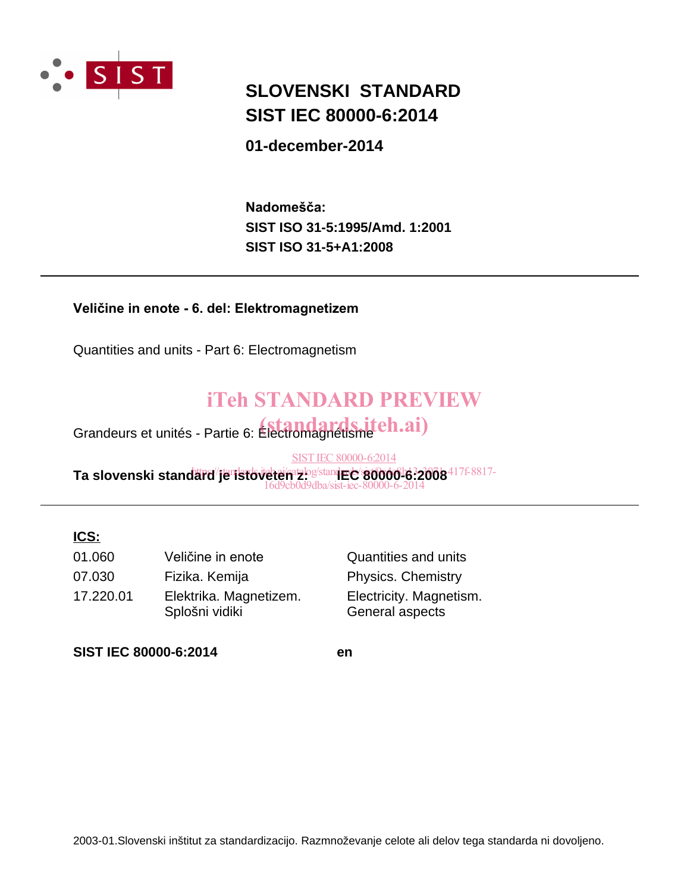

### **SIST IEC 80000-6:2014 SLOVENSKI STANDARD**

### **01-december-2014**

**SIST ISO 31-5+A1:2008 SIST ISO 31-5:1995/Amd. 1:2001** Nadomešča:

#### Veličine in enote - 6. del: Elektromagnetizem

Quantities and units - Part 6: Electromagnetism

## iTeh STANDARD PREVIEW

Grandeurs et unités - Partie 6: Électromagnétisme et al. ai)

#### SIST IEC 80000-6:2014

Ta slovenski standard/je istoveten z. **IEC 80000-6:2008**<sup>417f-8817-</sup> 16d9cb0d9dba/sist-iec-80000-6-2014

#### **ICS:**

| 01.060    | Veličine in enote                        |  |
|-----------|------------------------------------------|--|
| 07.030    | Fizika. Kemija                           |  |
| 17.220.01 | Elektrika. Magnetizem.<br>Splošni vidiki |  |

Electricity. Magnetism. General aspects Physics. Chemistry Quantities and units

**SIST IEC 80000-6:2014 en**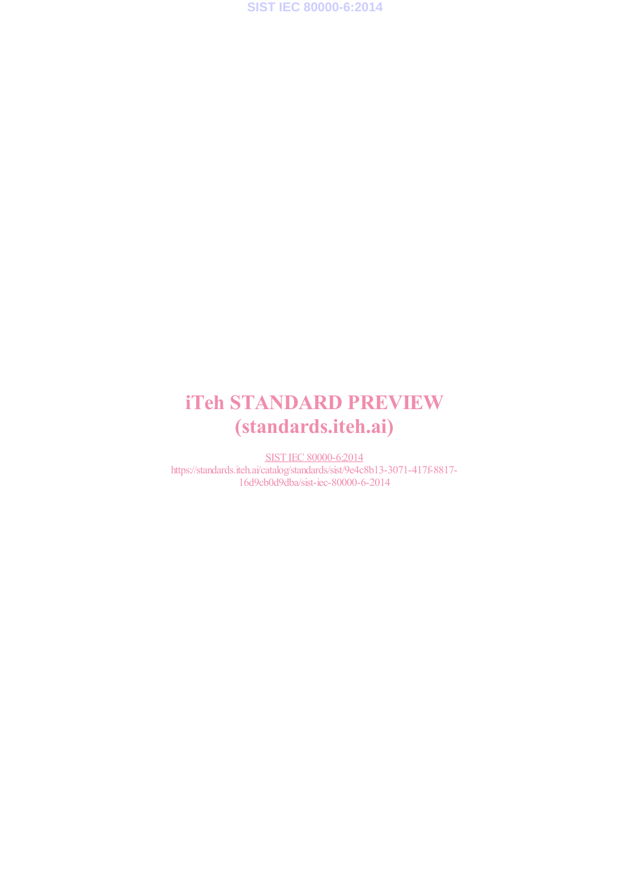

## iTeh STANDARD PREVIEW (standards.iteh.ai)

SIST IEC 80000-6:2014 https://standards.iteh.ai/catalog/standards/sist/9e4c8b13-3071-417f-8817- 16d9cb0d9dba/sist-iec-80000-6-2014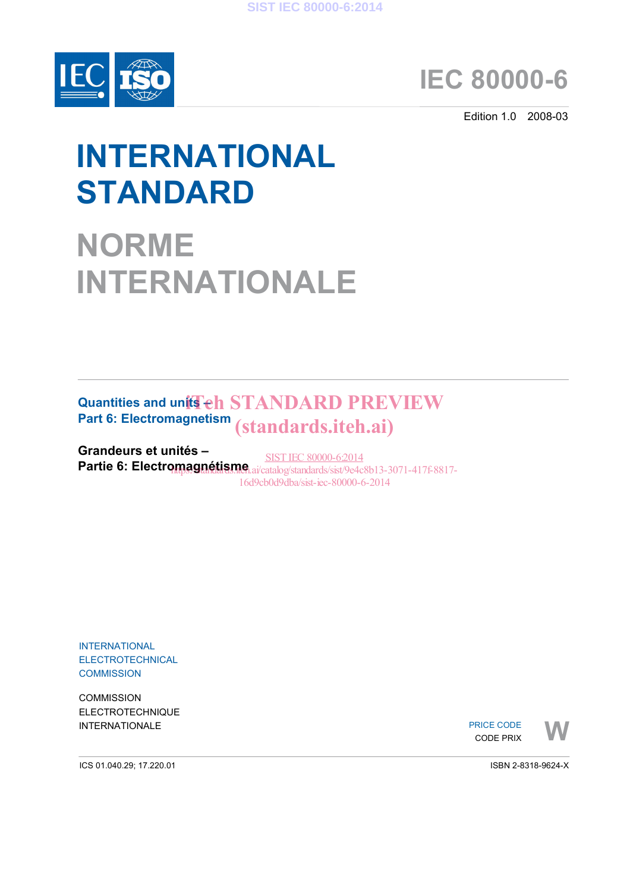**SIST IEC 80000-6:2014**





Edition 1.0 2008-03

# **INTERNATIONAL STANDARD**

**NORME INTERNATIONALE**

**Quantities and units the STANDARD PREVIEW Part 6: Electromagnetism**  (standards.iteh.ai)

**Grandeurs et unités –**  Partie 6: Electromagnétisme ai/catalog/standards/sist/9e4c8b13-3071-417f-8817-SIST IEC 80000-6:2014 16d9cb0d9dba/sist-iec-80000-6-2014

INTERNATIONAL ELECTROTECHNICAL **COMMISSION** 

COMMISSION ELECTROTECHNIQUE

INTERNATIONALE PRICE CODE **WAS CODED FOR A SAMPLE OF THE WAS CODED FOR A SAMPLE OF THE WAS CODED FOR A SAMPLE OF THE WAS CODED FOR A SAMPLE OF THE WAS CODED FOR A SAMPLE OF THE WAS CODED FOR A SAMPLE OF THE WAS CODED FOR A** PRICE CODE CODE PRIX



ICS 01.040.29; 17.220.01

ISBN 2-8318-9624-X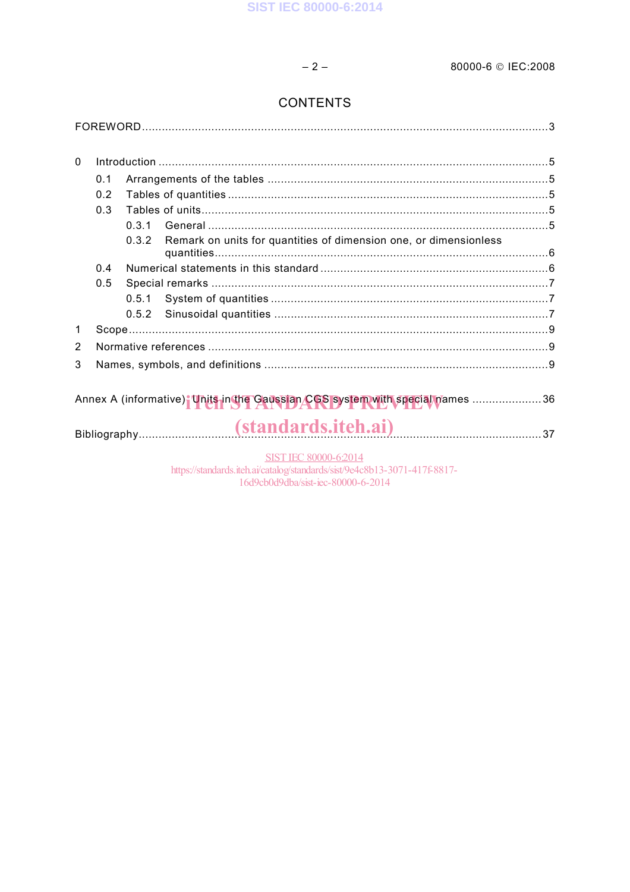### **CONTENTS**

 $-2-$ 

| $\mathbf{0}$   |     |       |                                                                                                                                          |  |  |
|----------------|-----|-------|------------------------------------------------------------------------------------------------------------------------------------------|--|--|
|                | 0.1 |       |                                                                                                                                          |  |  |
|                | 0.2 |       |                                                                                                                                          |  |  |
|                | 0.3 |       |                                                                                                                                          |  |  |
|                |     | 0.3.1 |                                                                                                                                          |  |  |
|                |     | 0.3.2 | Remark on units for quantities of dimension one, or dimensionless                                                                        |  |  |
|                | 0.4 |       |                                                                                                                                          |  |  |
|                | 0.5 |       |                                                                                                                                          |  |  |
|                |     | 0.5.1 |                                                                                                                                          |  |  |
|                |     |       |                                                                                                                                          |  |  |
| 1              |     |       |                                                                                                                                          |  |  |
| $\overline{2}$ |     |       |                                                                                                                                          |  |  |
| 3              |     |       |                                                                                                                                          |  |  |
|                |     |       | Annex A (informative) Units in the Gaussian CGS system with special names 36                                                             |  |  |
|                |     |       |                                                                                                                                          |  |  |
|                |     |       | SIST IEC 80000-6:2014<br>https://standards.iteh.ai/catalog/standards/sist/9e4c8b13-3071-417f-8817-<br>16d9cb0d9dba/sist-iec-80000-6-2014 |  |  |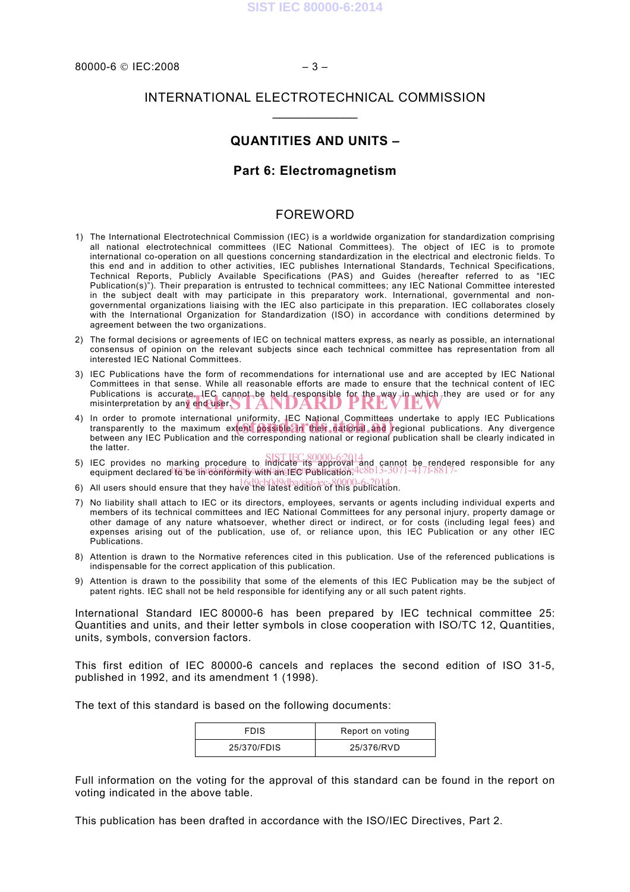#### INTERNATIONAL ELECTROTECHNICAL COMMISSION  $\frac{1}{2}$

#### **QUANTITIES AND UNITS –**

#### **Part 6: Electromagnetism**

#### FOREWORD

- 1) The International Electrotechnical Commission (IEC) is a worldwide organization for standardization comprising all national electrotechnical committees (IEC National Committees). The object of IEC is to promote international co-operation on all questions concerning standardization in the electrical and electronic fields. To this end and in addition to other activities, IEC publishes International Standards, Technical Specifications, Technical Reports, Publicly Available Specifications (PAS) and Guides (hereafter referred to as "IEC Publication(s)"). Their preparation is entrusted to technical committees; any IEC National Committee interested in the subject dealt with may participate in this preparatory work. International, governmental and nongovernmental organizations liaising with the IEC also participate in this preparation. IEC collaborates closely with the International Organization for Standardization (ISO) in accordance with conditions determined by agreement between the two organizations.
- 2) The formal decisions or agreements of IEC on technical matters express, as nearly as possible, an international consensus of opinion on the relevant subjects since each technical committee has representation from all interested IEC National Committees.
- 3) IEC Publications have the form of recommendations for international use and are accepted by IEC National Committees in that sense. While all reasonable efforts are made to ensure that the technical content of IEC Publications is accurate, IEC cannot be held responsible for the way in which they are used or for any misinterpretation by any encluser. misinterpretation by any end user. **ANDARD**
- 4) In order to promote international uniformity, IEC National Committees undertake to apply IEC Publications transparently to the maximum extent possible in their national and regional publications. Any divergence In order to promote international uniformity, IEC National Committees undertake to apply IEC Publications<br>transparently to the maximum extent possible in their national and regional publications. Any divergence<br>between any the latter.
- 5) IEC provides no marking procedure to indicate its approval and cannot be rendered responsible for any equipment declared to be in conformity with an IEC Publication. SIST IEC 80000-6:2014 https://standard.org/matericated.org/standards.com/2011-417f-8817-
- 6) All users should ensure that they have the latest edition of this publication.
- 7) No liability shall attach to IEC or its directors, employees, servants or agents including individual experts and members of its technical committees and IEC National Committees for any personal injury, property damage or other damage of any nature whatsoever, whether direct or indirect, or for costs (including legal fees) and expenses arising out of the publication, use of, or reliance upon, this IEC Publication or any other IEC Publications.
- 8) Attention is drawn to the Normative references cited in this publication. Use of the referenced publications is indispensable for the correct application of this publication.
- 9) Attention is drawn to the possibility that some of the elements of this IEC Publication may be the subject of patent rights. IEC shall not be held responsible for identifying any or all such patent rights.

International Standard IEC 80000-6 has been prepared by IEC technical committee 25: Quantities and units, and their letter symbols in close cooperation with ISO/TC 12, Quantities, units, symbols, conversion factors.

This first edition of IEC 80000-6 cancels and replaces the second edition of ISO 31-5, published in 1992, and its amendment 1 (1998).

The text of this standard is based on the following documents:

| <b>FDIS</b> | Report on voting |  |
|-------------|------------------|--|
| 25/370/FDIS | 25/376/RVD       |  |

Full information on the voting for the approval of this standard can be found in the report on voting indicated in the above table.

This publication has been drafted in accordance with the ISO/IEC Directives, Part 2.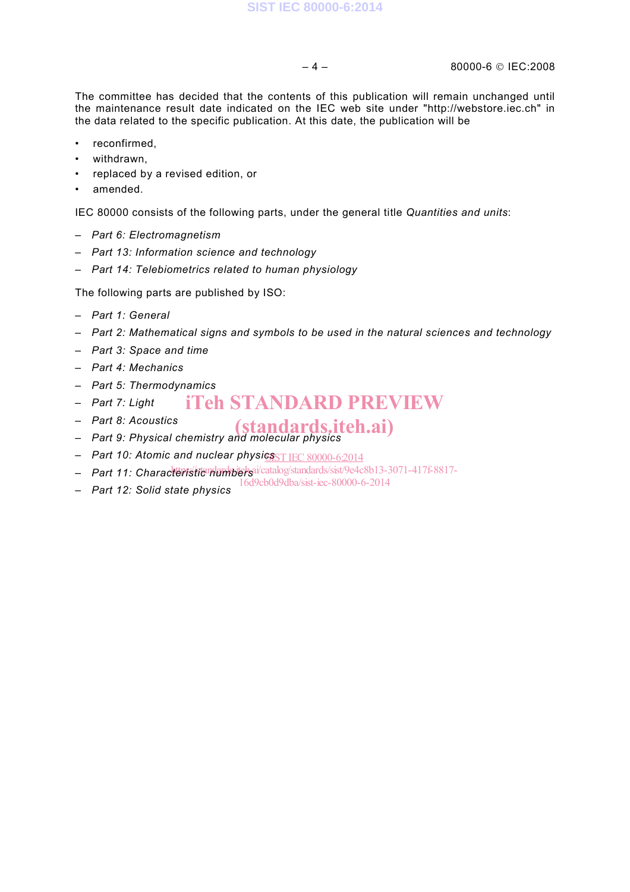The committee has decided that the contents of this publication will remain unchanged until the maintenance result date indicated on the IEC web site under "http://webstore.iec.ch" in the data related to the specific publication. At this date, the publication will be

- reconfirmed,
- withdrawn.
- replaced by a revised edition, or
- amended.

IEC 80000 consists of the following parts, under the general title *Quantities and units*:

- *Part 6: Electromagnetism*
- *Part 13: Information science and technology*
- *Part 14: Telebiometrics related to human physiology*

The following parts are published by ISO:

- *Part 1: General*
- *Part 2: Mathematical signs and symbols to be used in the natural sciences and technology*
- *Part 3: Space and time*
- *Part 4: Mechanics*
- *Part 5: Thermodynamics*
- *Part 7: Light*  iTeh STANDARD PREVIEW
- *Part 8: Acoustics*
- *Part 9: Physical chemistry and molecular physics*  (standards.iteh.ai)
- *Part 10: Atomic and nuclear physics*  SIST IEC 80000-6:2014
- **Part 11: Characteristic numbers** ai/catalog/standards/sist/9e4c8b13-3071-417f-8817-
- 16d9cb0d9dba/sist-iec-80000-6-2014
- *Part 12: Solid state physics*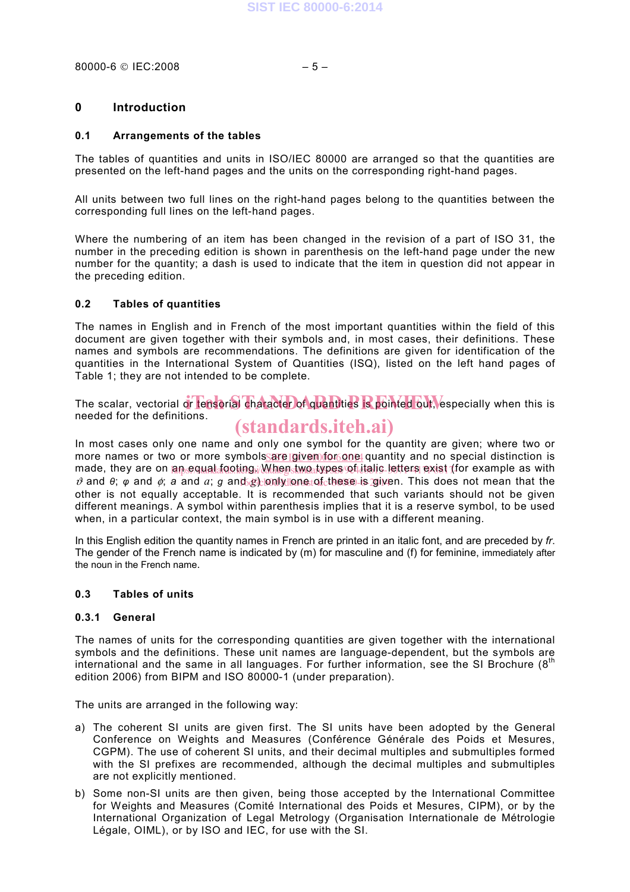80000-6 © IEC:2008 – 5

#### **0 Introduction**

#### **0.1 Arrangements of the tables**

The tables of quantities and units in ISO/IEC 80000 are arranged so that the quantities are presented on the left-hand pages and the units on the corresponding right-hand pages.

All units between two full lines on the right-hand pages belong to the quantities between the corresponding full lines on the left-hand pages.

Where the numbering of an item has been changed in the revision of a part of ISO 31, the number in the preceding edition is shown in parenthesis on the left-hand page under the new number for the quantity; a dash is used to indicate that the item in question did not appear in the preceding edition.

#### **0.2 Tables of quantities**

The names in English and in French of the most important quantities within the field of this document are given together with their symbols and, in most cases, their definitions. These names and symbols are recommendations. The definitions are given for identification of the quantities in the International System of Quantities (ISQ), listed on the left hand pages of Table 1; they are not intended to be complete.

The scalar, vectorial or tensorial character of quantities is pointed out, especially when this is needed for the definitions.

### (standards.iteh.ai)

In most cases only one name and only one symbol for the quantity are given; where two or more names or two or more symbols<u>sare givem for onel</u> quantity and no special distinction is made, they are on <u>an equal footing.</u> When two types of italic letters exist (for example as with  $\vartheta$  and  $\theta$ ;  $\varphi$  and  $\varphi$ ; a and *a*; g and g b only one of these is given. This does not mean that the other is not equally acceptable. It is recommended that such variants should not be given different meanings. A symbol within parenthesis implies that it is a reserve symbol, to be used when, in a particular context, the main symbol is in use with a different meaning.

In this English edition the quantity names in French are printed in an italic font, and are preceded by *fr*. The gender of the French name is indicated by (m) for masculine and (f) for feminine, immediately after the noun in the French name.

#### **0.3 Tables of units**

#### **0.3.1 General**

The names of units for the corresponding quantities are given together with the international symbols and the definitions. These unit names are language-dependent, but the symbols are international and the same in all languages. For further information, see the SI Brochure (8<sup>th</sup> edition 2006) from BIPM and ISO 80000-1 (under preparation).

The units are arranged in the following way:

- a) The coherent SI units are given first. The SI units have been adopted by the General Conference on Weights and Measures (Conférence Générale des Poids et Mesures, CGPM). The use of coherent SI units, and their decimal multiples and submultiples formed with the SI prefixes are recommended, although the decimal multiples and submultiples are not explicitly mentioned.
- b) Some non-SI units are then given, being those accepted by the International Committee for Weights and Measures (Comité International des Poids et Mesures, CIPM), or by the International Organization of Legal Metrology (Organisation Internationale de Métrologie Légale, OIML), or by ISO and IEC, for use with the SI.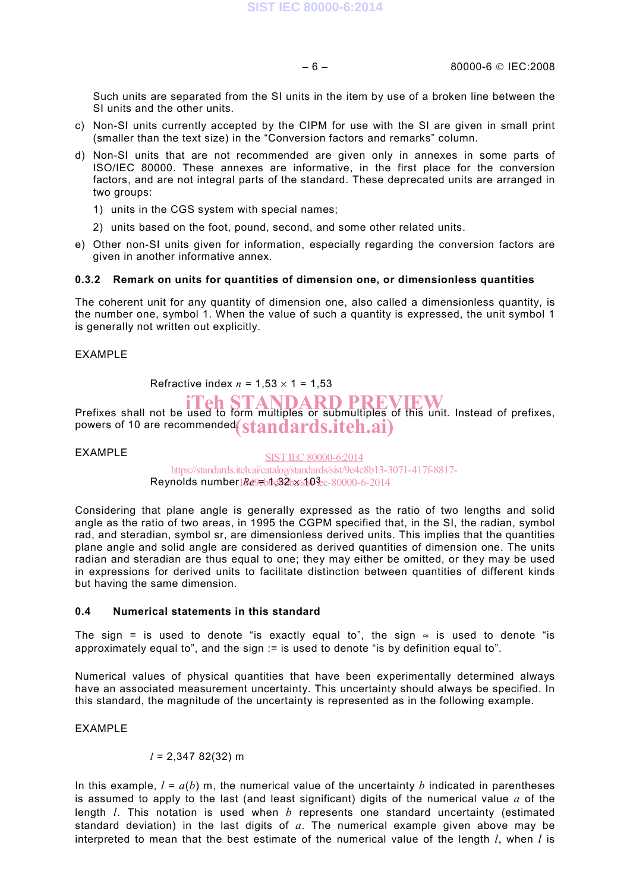Such units are separated from the SI units in the item by use of a broken line between the SI units and the other units.

- c) Non-SI units currently accepted by the CIPM for use with the SI are given in small print (smaller than the text size) in the "Conversion factors and remarks" column.
- d) Non-SI units that are not recommended are given only in annexes in some parts of ISO/IEC 80000. These annexes are informative, in the first place for the conversion factors, and are not integral parts of the standard. These deprecated units are arranged in two groups:
	- 1) units in the CGS system with special names;
	- 2) units based on the foot, pound, second, and some other related units.
- e) Other non-SI units given for information, especially regarding the conversion factors are given in another informative annex.

#### **0.3.2 Remark on units for quantities of dimension one, or dimensionless quantities**

The coherent unit for any quantity of dimension one, also called a dimensionless quantity, is the number one, symbol 1. When the value of such a quantity is expressed, the unit symbol 1 is generally not written out explicitly.

#### EXAMPLE

#### Refractive index  $n = 1,53 \times 1 = 1,53$

## Prefixes shall not be used to form multiples or submultiples of this unit. Instead of prefixes, powers of 10 are recommended (standards.itch.ai)

EXAMPLE

#### <u>Reynolds number $R$ ể୨<del>c</del>b0d92ba/st0≹c-80000-6-2014</u> SIST IEC 80000-6:2014 https://standards.iteh.ai/catalog/standards/sist/9e4c8b13-3071-417f-8817-

Considering that plane angle is generally expressed as the ratio of two lengths and solid angle as the ratio of two areas, in 1995 the CGPM specified that, in the SI, the radian, symbol rad, and steradian, symbol sr, are dimensionless derived units. This implies that the quantities plane angle and solid angle are considered as derived quantities of dimension one. The units radian and steradian are thus equal to one; they may either be omitted, or they may be used in expressions for derived units to facilitate distinction between quantities of different kinds but having the same dimension.

#### **0.4 Numerical statements in this standard**

The sign = is used to denote "is exactly equal to", the sign  $\approx$  is used to denote "is approximately equal to", and the sign  $:=$  is used to denote "is by definition equal to".

Numerical values of physical quantities that have been experimentally determined always have an associated measurement uncertainty. This uncertainty should always be specified. In this standard, the magnitude of the uncertainty is represented as in the following example.

#### EXAMPLE

$$
l = 2,34782(32)
$$
 m

In this example,  $l = a(b)$  m, the numerical value of the uncertainty *b* indicated in parentheses is assumed to apply to the last (and least significant) digits of the numerical value *a* of the length *l*. This notation is used when *b* represents one standard uncertainty (estimated standard deviation) in the last digits of *a*. The numerical example given above may be interpreted to mean that the best estimate of the numerical value of the length *l*, when *l* is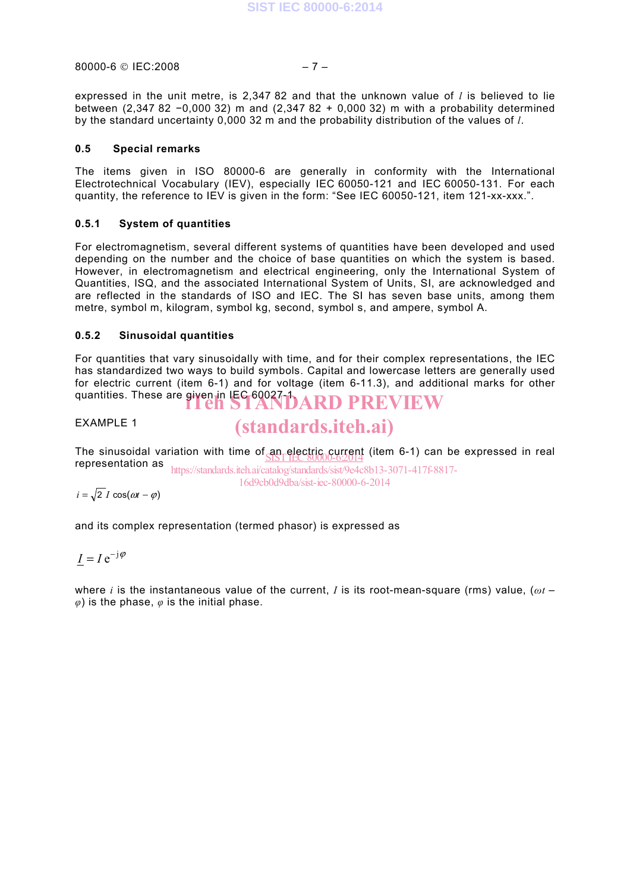$80000 - 6$  © IFC: 2008 – 7 –

expressed in the unit metre, is 2,347 82 and that the unknown value of *l* is believed to lie between (2,347 82 −0,000 32) m and (2,347 82 + 0,000 32) m with a probability determined by the standard uncertainty 0,000 32 m and the probability distribution of the values of *l*.

#### **0.5 Special remarks**

The items given in ISO 80000-6 are generally in conformity with the International Electrotechnical Vocabulary (IEV), especially IEC 60050-121 and IEC 60050-131. For each quantity, the reference to IEV is given in the form: "See IEC 60050-121, item 121-xx-xxx.".

#### **0.5.1 System of quantities**

For electromagnetism, several different systems of quantities have been developed and used depending on the number and the choice of base quantities on which the system is based. However, in electromagnetism and electrical engineering, only the International System of Quantities, ISQ, and the associated International System of Units, SI, are acknowledged and are reflected in the standards of ISO and IEC. The SI has seven base units, among them metre, symbol m, kilogram, symbol kg, second, symbol s, and ampere, symbol A.

#### **0.5.2 Sinusoidal quantities**

For quantities that vary sinusoidally with time, and for their complex representations, the IEC has standardized two ways to build symbols. Capital and lowercase letters are generally used for electric current (item 6-1) and for voltage (item 6-11.3), and additional marks for other quantities. These are given in IEC 60027-1 ARD PREVIEW

#### EXAMPLE 1

### (standards.iteh.ai)

The sinusoidal variation with time of an electric current (item 6-1) can be expressed in real real states of the studies of the studies of the studies of the studies of the studies of the studies of the studies of the stud representation as https://standards.iteh.ai/catalog/standards/sist/9e4c8b13-3071-417f-8817-

16d9cb0d9dba/sist-iec-80000-6-2014

$$
i = \sqrt{2} I \cos(\omega t - \varphi)
$$

and its complex representation (termed phasor) is expressed as

$$
\underline{I} = I e^{-j\varphi}
$$

where *i* is the instantaneous value of the current, *I* is its root-mean-square (rms) value, (*ωt* – *φ*) is the phase, *φ* is the initial phase.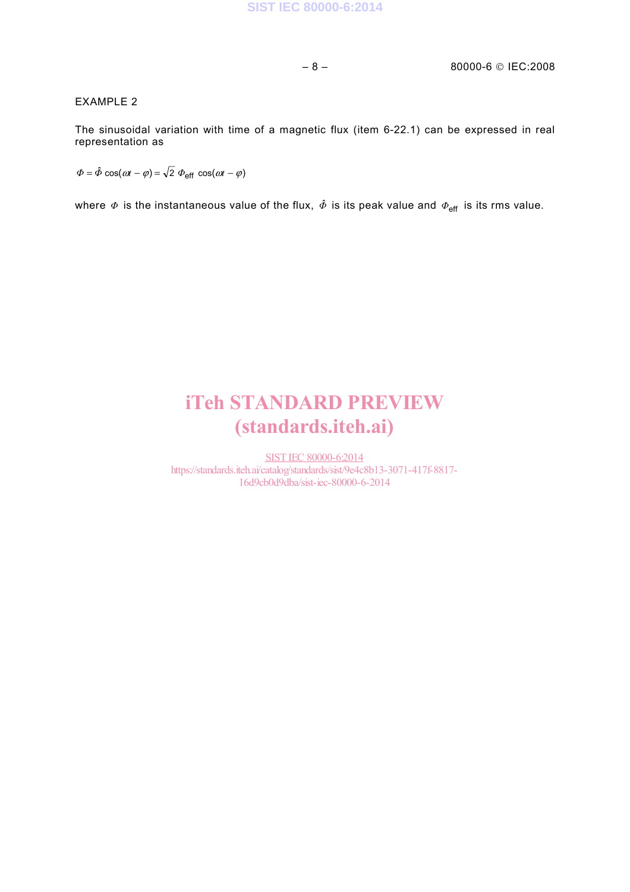#### EXAMPLE 2

The sinusoidal variation with time of a magnetic flux (item 6-22.1) can be expressed in real representation as

 $\Phi = \hat{\Phi} \cos(\omega t - \varphi) = \sqrt{2} \Phi_{\text{eff}} \cos(\omega t - \varphi)$ 

where  $\Phi$  is the instantaneous value of the flux,  $\hat{\Phi}$  is its peak value and  $\Phi_{\text{eff}}$  is its rms value.

## iTeh STANDARD PREVIEW (standards.iteh.ai)

SIST IEC 80000-6:2014 https://standards.iteh.ai/catalog/standards/sist/9e4c8b13-3071-417f-8817- 16d9cb0d9dba/sist-iec-80000-6-2014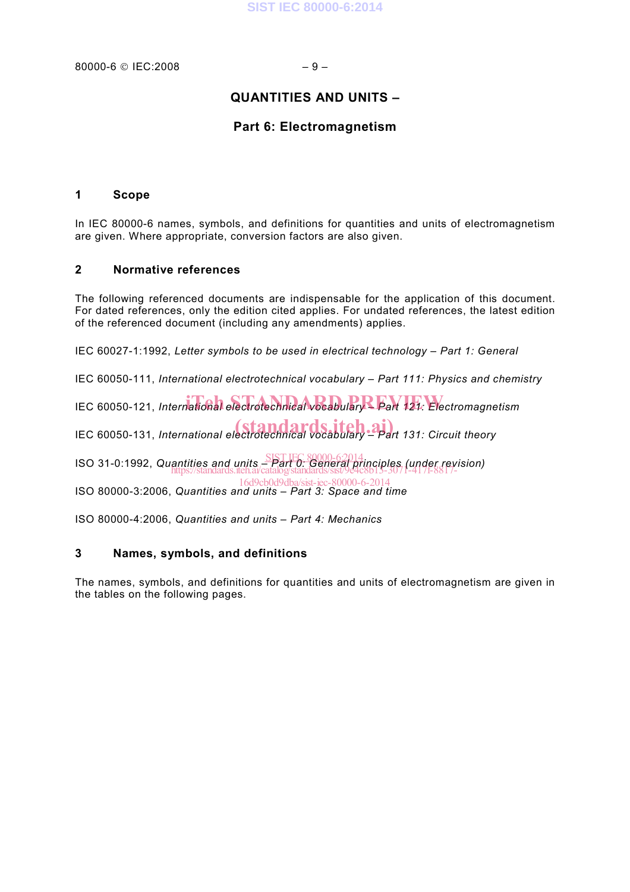$80000 - 6$  © IFC: 2008 – 9 –

#### **QUANTITIES AND UNITS –**

#### **Part 6: Electromagnetism**

#### **1 Scope**

In IEC 80000-6 names, symbols, and definitions for quantities and units of electromagnetism are given. Where appropriate, conversion factors are also given.

#### **2 Normative references**

The following referenced documents are indispensable for the application of this document. For dated references, only the edition cited applies. For undated references, the latest edition of the referenced document (including any amendments) applies.

IEC 60027-1:1992, *Letter symbols to be used in electrical technology – Part 1: General*

IEC 60050-111, *International electrotechnical vocabulary – Part 111: Physics and chemistry* 

IEC 60050-121, *International electrotechnical vocabulary Part 121: Electromagnetism* 

IEC 60050-131, *International electrotechnical vocabulary – Part 131: Circuit theory* 

ISO 31-0:1992, Quantities and units – Part 0: General principles (under revision) https://standards.iteh.ai/catalog/standards/sist/9e4c8b13-3071-417f-8817-

ISO 80000-3:2006, *Quantities and units – Part 3: Space and time* 16d9cb0d9dba/sist-iec-80000-6-2

ISO 80000-4:2006, *Quantities and units – Part 4: Mechanics*

#### **3 Names, symbols, and definitions**

The names, symbols, and definitions for quantities and units of electromagnetism are given in the tables on the following pages.